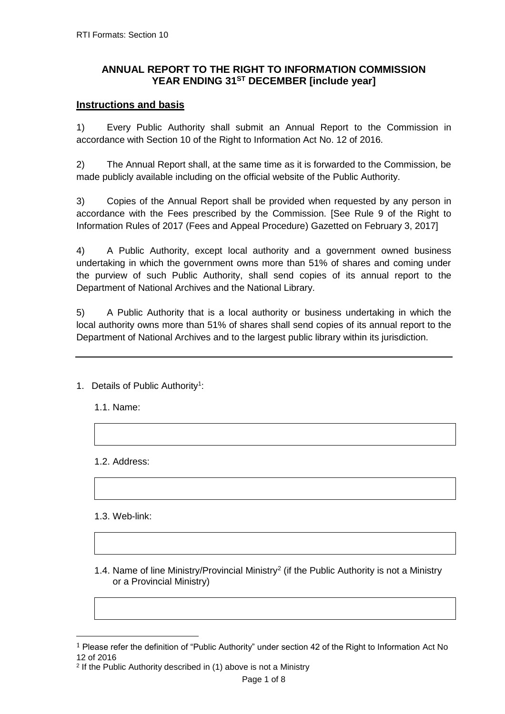## **ANNUAL REPORT TO THE RIGHT TO INFORMATION COMMISSION YEAR ENDING 31ST DECEMBER [include year]**

## **Instructions and basis**

1) Every Public Authority shall submit an Annual Report to the Commission in accordance with Section 10 of the Right to Information Act No. 12 of 2016.

2) The Annual Report shall, at the same time as it is forwarded to the Commission, be made publicly available including on the official website of the Public Authority.

3) Copies of the Annual Report shall be provided when requested by any person in accordance with the Fees prescribed by the Commission. [See Rule 9 of the Right to Information Rules of 2017 (Fees and Appeal Procedure) Gazetted on February 3, 2017]

4) A Public Authority, except local authority and a government owned business undertaking in which the government owns more than 51% of shares and coming under the purview of such Public Authority, shall send copies of its annual report to the Department of National Archives and the National Library.

5) A Public Authority that is a local authority or business undertaking in which the local authority owns more than 51% of shares shall send copies of its annual report to the Department of National Archives and to the largest public library within its jurisdiction.

- 1. Details of Public Authority<sup>1</sup>:
	- 1.1. Name:

1.2. Address:

1.3. Web-link:

 $\overline{a}$ 

1.4. Name of line Ministry/Provincial Ministry<sup>2</sup> (if the Public Authority is not a Ministry or a Provincial Ministry)

<sup>1</sup> Please refer the definition of "Public Authority" under section 42 of the Right to Information Act No 12 of 2016

<sup>2</sup> If the Public Authority described in (1) above is not a Ministry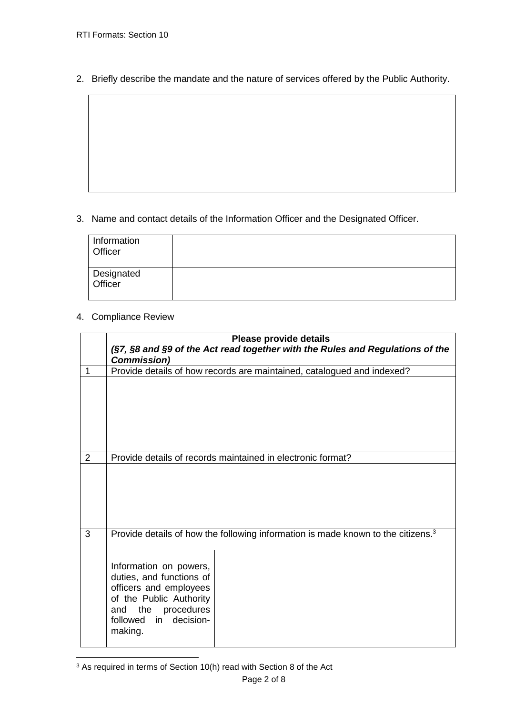2. Briefly describe the mandate and the nature of services offered by the Public Authority.

3. Name and contact details of the Information Officer and the Designated Officer.

| Information<br>Officer |  |
|------------------------|--|
| Designated<br>Officer  |  |

## 4. Compliance Review

|                | Please provide details<br>(§7, §8 and §9 of the Act read together with the Rules and Regulations of the<br><b>Commission)</b>                                                                                                                                           |
|----------------|-------------------------------------------------------------------------------------------------------------------------------------------------------------------------------------------------------------------------------------------------------------------------|
| 1              | Provide details of how records are maintained, catalogued and indexed?                                                                                                                                                                                                  |
| $\overline{2}$ | Provide details of records maintained in electronic format?                                                                                                                                                                                                             |
| 3              | Provide details of how the following information is made known to the citizens. <sup>3</sup><br>Information on powers,<br>duties, and functions of<br>officers and employees<br>of the Public Authority<br>the<br>procedures<br>and<br>followed in decision-<br>making. |

 $\overline{a}$  $3$  As required in terms of Section 10(h) read with Section 8 of the Act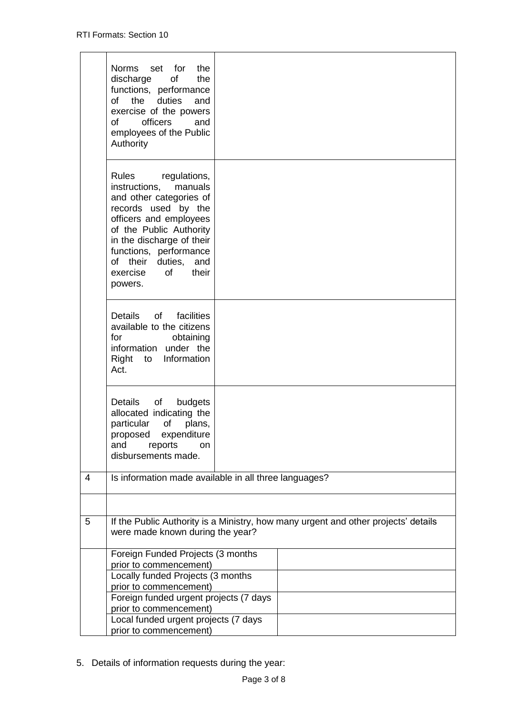|   | set for<br><b>Norms</b><br>the<br>discharge<br>of<br>the<br>functions, performance<br>of the duties<br>and<br>exercise of the powers<br>of<br>officers<br>and<br>employees of the Public                                                                                          |                                                                                    |
|---|-----------------------------------------------------------------------------------------------------------------------------------------------------------------------------------------------------------------------------------------------------------------------------------|------------------------------------------------------------------------------------|
|   | Authority                                                                                                                                                                                                                                                                         |                                                                                    |
|   | <b>Rules</b><br>regulations,<br>instructions, manuals<br>and other categories of<br>records used by the<br>officers and employees<br>of the Public Authority<br>in the discharge of their<br>functions, performance<br>of their duties, and<br>exercise<br>of<br>their<br>powers. |                                                                                    |
|   | Details of<br>facilities<br>available to the citizens<br>for<br>obtaining<br>information under the<br>Information<br>Right to<br>Act.                                                                                                                                             |                                                                                    |
|   | Details<br>$\circ$ of<br>budgets<br>allocated indicating the<br>particular<br>of<br>plans,<br>proposed<br>expenditure<br>reports<br>and<br>on<br>disbursements made.                                                                                                              |                                                                                    |
| 4 |                                                                                                                                                                                                                                                                                   | Is information made available in all three languages?                              |
|   |                                                                                                                                                                                                                                                                                   |                                                                                    |
| 5 | were made known during the year?                                                                                                                                                                                                                                                  | If the Public Authority is a Ministry, how many urgent and other projects' details |
|   | Foreign Funded Projects (3 months                                                                                                                                                                                                                                                 |                                                                                    |
|   | prior to commencement)                                                                                                                                                                                                                                                            |                                                                                    |
|   | Locally funded Projects (3 months                                                                                                                                                                                                                                                 |                                                                                    |
|   | prior to commencement)<br>Foreign funded urgent projects (7 days                                                                                                                                                                                                                  |                                                                                    |
|   | prior to commencement)                                                                                                                                                                                                                                                            |                                                                                    |
|   | Local funded urgent projects (7 days                                                                                                                                                                                                                                              |                                                                                    |
|   | prior to commencement)                                                                                                                                                                                                                                                            |                                                                                    |

5. Details of information requests during the year: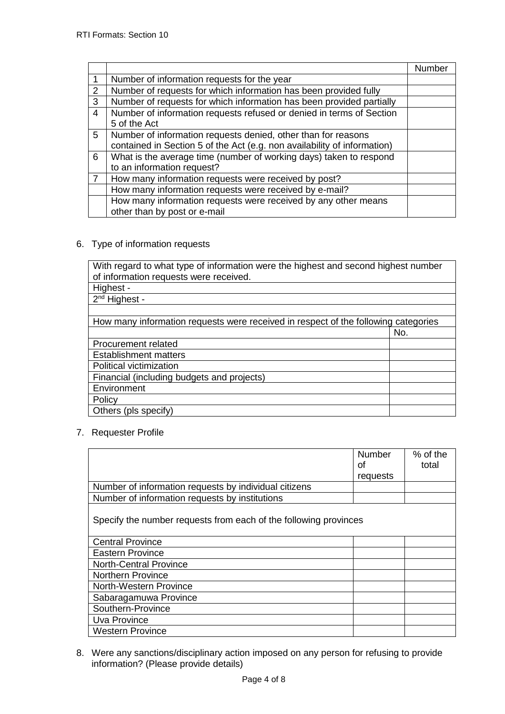|                |                                                                                      | Number |
|----------------|--------------------------------------------------------------------------------------|--------|
| $\mathbf 1$    | Number of information requests for the year                                          |        |
| 2              | Number of requests for which information has been provided fully                     |        |
| 3              | Number of requests for which information has been provided partially                 |        |
| $\overline{4}$ | Number of information requests refused or denied in terms of Section<br>5 of the Act |        |
| 5              | Number of information requests denied, other than for reasons                        |        |
|                | contained in Section 5 of the Act (e.g. non availability of information)             |        |
| 6              | What is the average time (number of working days) taken to respond                   |        |
|                | to an information request?                                                           |        |
| $\overline{7}$ | How many information requests were received by post?                                 |        |
|                | How many information requests were received by e-mail?                               |        |
|                | How many information requests were received by any other means                       |        |
|                | other than by post or e-mail                                                         |        |

6. Type of information requests

With regard to what type of information were the highest and second highest number of information requests were received.

- Highest 2<sup>nd</sup> Highest -How many information requests were received in respect of the following categories No. Procurement related Establishment matters Political victimization Financial (including budgets and projects) **Environment** Policy Others (pls specify)
- 7. Requester Profile

|                                                                  | Number<br>Ωf<br>requests | % of the<br>total |
|------------------------------------------------------------------|--------------------------|-------------------|
| Number of information requests by individual citizens            |                          |                   |
| Number of information requests by institutions                   |                          |                   |
| Specify the number requests from each of the following provinces |                          |                   |
| <b>Central Province</b>                                          |                          |                   |
| <b>Eastern Province</b>                                          |                          |                   |
| <b>North-Central Province</b>                                    |                          |                   |
| <b>Northern Province</b>                                         |                          |                   |
| North-Western Province                                           |                          |                   |
| Sabaragamuwa Province                                            |                          |                   |
| Southern-Province                                                |                          |                   |
| Uva Province                                                     |                          |                   |
| <b>Western Province</b>                                          |                          |                   |

8. Were any sanctions/disciplinary action imposed on any person for refusing to provide information? (Please provide details)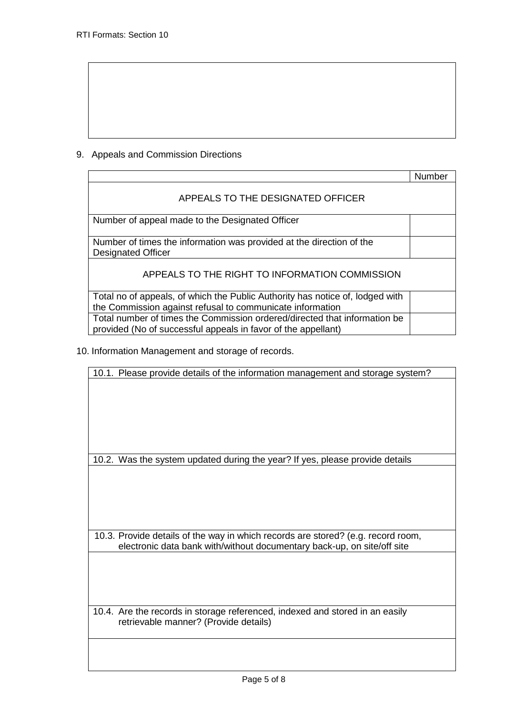## 9. Appeals and Commission Directions

|                                                                                                                                            | Number |
|--------------------------------------------------------------------------------------------------------------------------------------------|--------|
| APPEALS TO THE DESIGNATED OFFICER                                                                                                          |        |
| Number of appeal made to the Designated Officer                                                                                            |        |
| Number of times the information was provided at the direction of the<br><b>Designated Officer</b>                                          |        |
| APPEALS TO THE RIGHT TO INFORMATION COMMISSION                                                                                             |        |
| Total no of appeals, of which the Public Authority has notice of, lodged with<br>the Commission against refusal to communicate information |        |
| Total number of times the Commission ordered/directed that information be<br>provided (No of successful appeals in favor of the appellant) |        |

10. Information Management and storage of records.

10.1. Please provide details of the information management and storage system?

10.2. Was the system updated during the year? If yes, please provide details

10.3. Provide details of the way in which records are stored? (e.g. record room, electronic data bank with/without documentary back-up, on site/off site

10.4. Are the records in storage referenced, indexed and stored in an easily retrievable manner? (Provide details)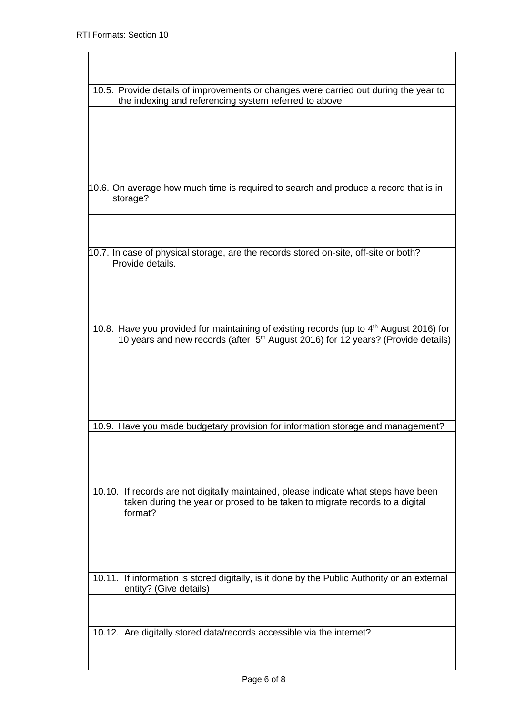| 10.5. Provide details of improvements or changes were carried out during the year to                |
|-----------------------------------------------------------------------------------------------------|
| the indexing and referencing system referred to above                                               |
|                                                                                                     |
|                                                                                                     |
|                                                                                                     |
|                                                                                                     |
|                                                                                                     |
|                                                                                                     |
|                                                                                                     |
| 10.6. On average how much time is required to search and produce a record that is in                |
| storage?                                                                                            |
|                                                                                                     |
|                                                                                                     |
|                                                                                                     |
|                                                                                                     |
| 10.7. In case of physical storage, are the records stored on-site, off-site or both?                |
| Provide details.                                                                                    |
|                                                                                                     |
|                                                                                                     |
|                                                                                                     |
|                                                                                                     |
|                                                                                                     |
| 10.8. Have you provided for maintaining of existing records (up to 4 <sup>th</sup> August 2016) for |
| 10 years and new records (after 5 <sup>th</sup> August 2016) for 12 years? (Provide details)        |
|                                                                                                     |
|                                                                                                     |
|                                                                                                     |
|                                                                                                     |
|                                                                                                     |
|                                                                                                     |
|                                                                                                     |
|                                                                                                     |
| 10.9. Have you made budgetary provision for information storage and management?                     |
|                                                                                                     |
|                                                                                                     |
|                                                                                                     |
|                                                                                                     |
|                                                                                                     |
| 10.10. If records are not digitally maintained, please indicate what steps have been                |
| taken during the year or prosed to be taken to migrate records to a digital                         |
| format?                                                                                             |
|                                                                                                     |
|                                                                                                     |
|                                                                                                     |
|                                                                                                     |
|                                                                                                     |
| 10.11. If information is stored digitally, is it done by the Public Authority or an external        |
| entity? (Give details)                                                                              |
|                                                                                                     |
|                                                                                                     |
|                                                                                                     |
| 10.12. Are digitally stored data/records accessible via the internet?                               |
|                                                                                                     |
|                                                                                                     |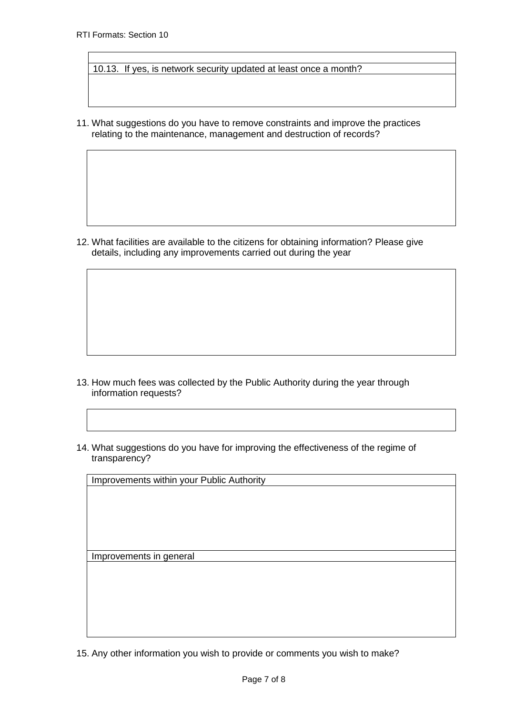10.13. If yes, is network security updated at least once a month?

11. What suggestions do you have to remove constraints and improve the practices relating to the maintenance, management and destruction of records?

12. What facilities are available to the citizens for obtaining information? Please give details, including any improvements carried out during the year

- 13. How much fees was collected by the Public Authority during the year through information requests?
- 14. What suggestions do you have for improving the effectiveness of the regime of transparency?

Improvements within your Public Authority

Improvements in general

15. Any other information you wish to provide or comments you wish to make?